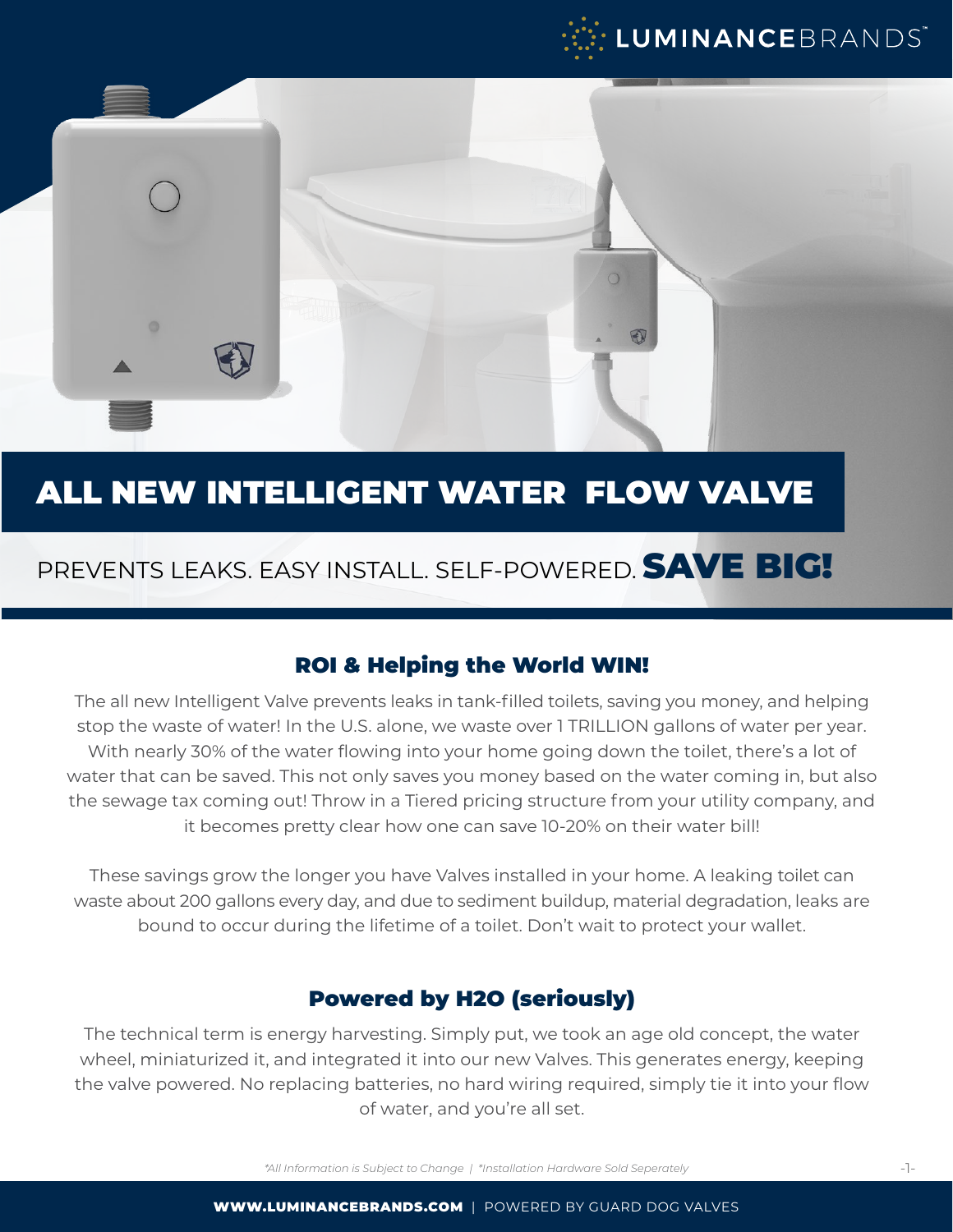



## ALL NEW INTELLIGENT WATER FLOW VALVE

## PREVENTS LEAKS. EASY INSTALL. SELF-POWERED. SAVE BIG!

#### ROI & Helping the World WIN!

The all new Intelligent Valve prevents leaks in tank-filled toilets, saving you money, and helping stop the waste of water! In the U.S. alone, we waste over 1 TRILLION gallons of water per year. With nearly 30% of the water flowing into your home going down the toilet, there's a lot of water that can be saved. This not only saves you money based on the water coming in, but also the sewage tax coming out! Throw in a Tiered pricing structure from your utility company, and it becomes pretty clear how one can save 10-20% on their water bill!

These savings grow the longer you have Valves installed in your home. A leaking toilet can waste about 200 gallons every day, and due to sediment buildup, material degradation, leaks are bound to occur during the lifetime of a toilet. Don't wait to protect your wallet.

#### Powered by H2O (seriously)

The technical term is energy harvesting. Simply put, we took an age old concept, the water wheel, miniaturized it, and integrated it into our new Valves. This generates energy, keeping the valve powered. No replacing batteries, no hard wiring required, simply tie it into your flow of water, and you're all set.

*\*All Information is Subject to Change | \*Installation Hardware Sold Seperately*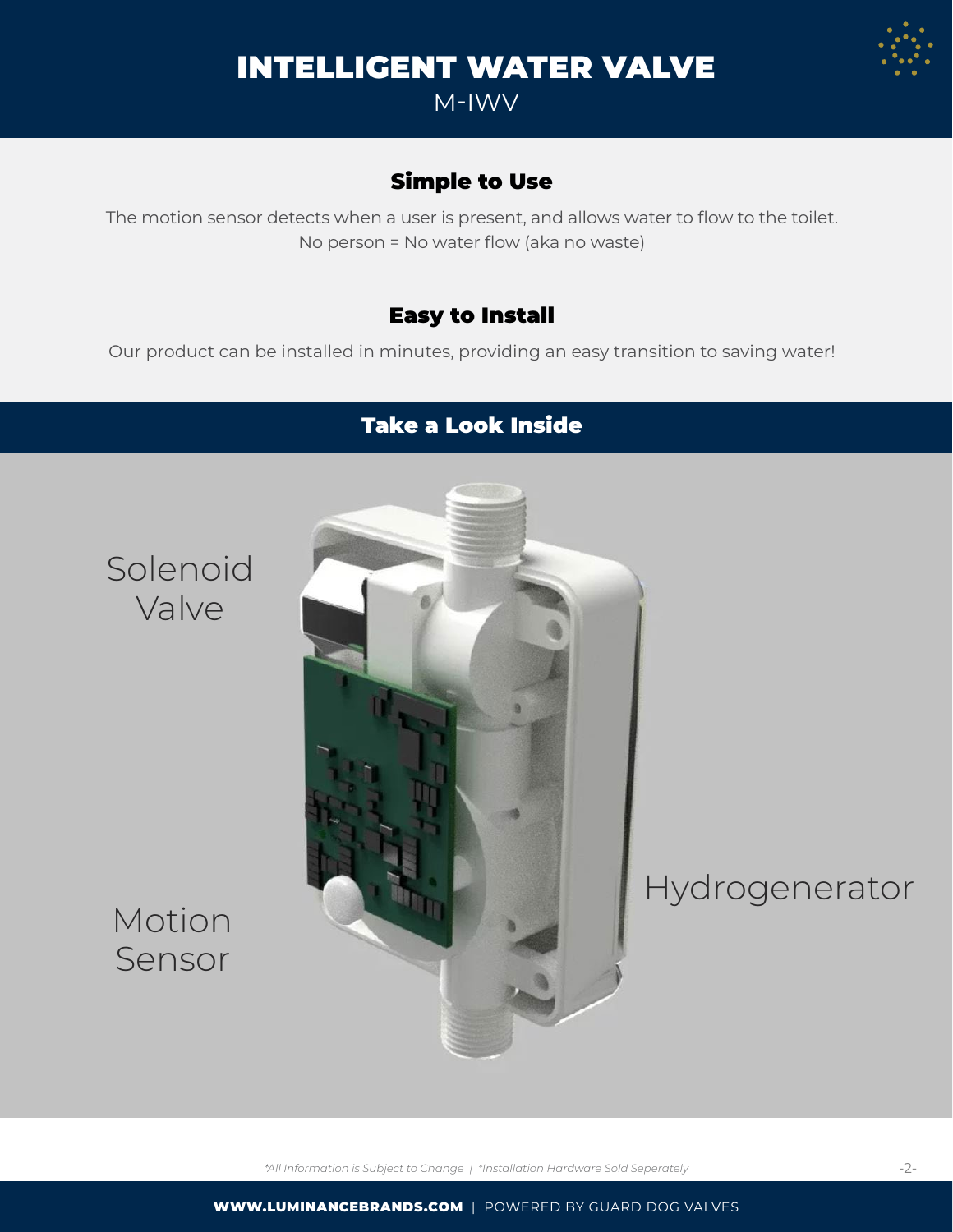# INTELLIGENT WATER VALVE

M-IWV

## Simple to Use

The motion sensor detects when a user is present, and allows water to flow to the toilet. No person = No water flow (aka no waste)

### Easy to Install

Our product can be installed in minutes, providing an easy transition to saving water!

## Take a Look Inside



## Motion Sensor

*\*All Information is Subject to Change | \*Installation Hardware Sold Seperately*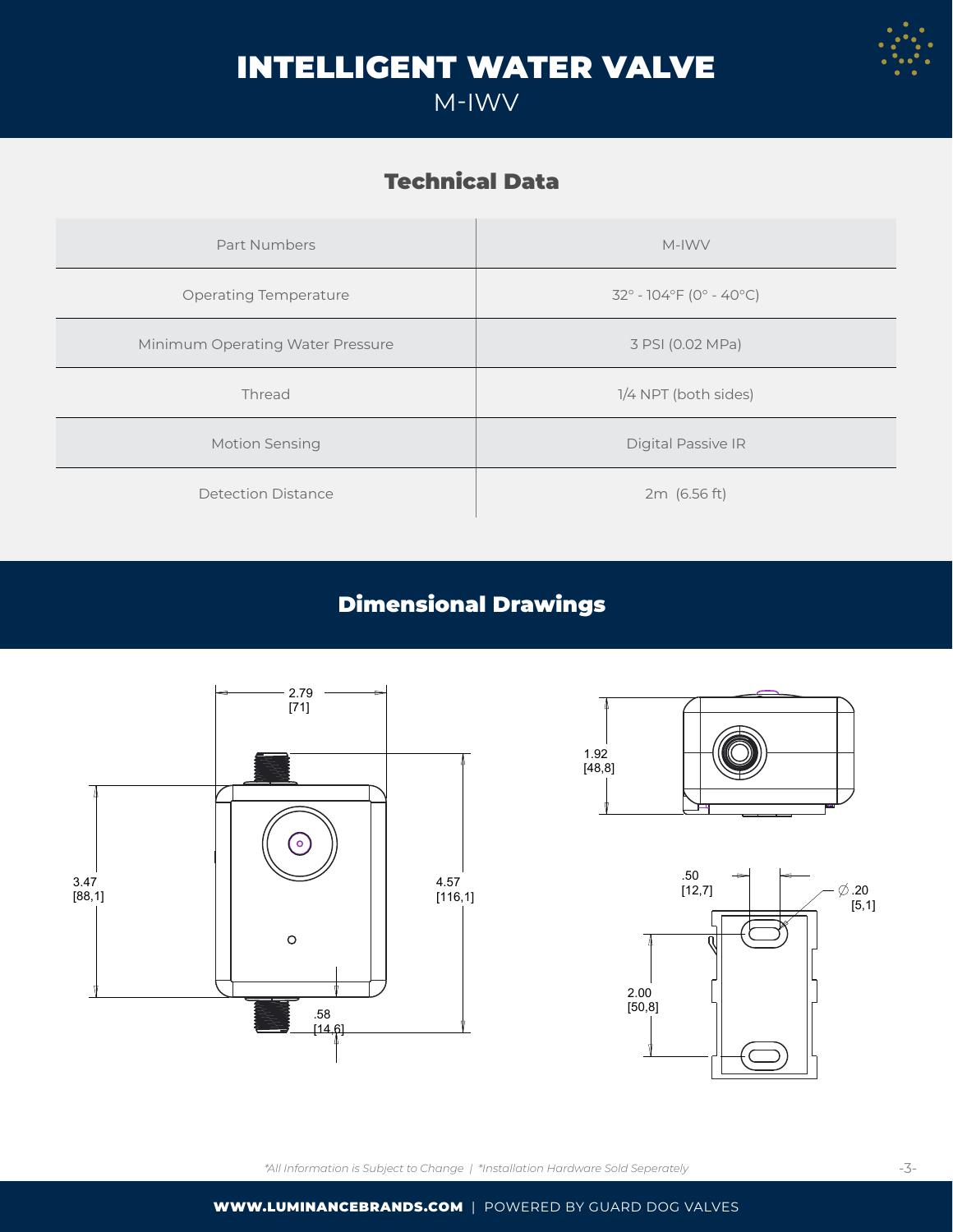

## INTELLIGENT WATER VALVE

## M-IWV

## Technical Data

| Part Numbers                     | M-IWV                            |
|----------------------------------|----------------------------------|
| <b>Operating Temperature</b>     | $32^{\circ}$ - 104°F (0° - 40°C) |
| Minimum Operating Water Pressure | 3 PSI (0.02 MPa)                 |
| Thread                           | 1/4 NPT (both sides)             |
| Motion Sensing                   | Digital Passive IR               |
| Detection Distance               | 2m (6.56 ft)                     |

## Dimensional Drawings





[14,6]